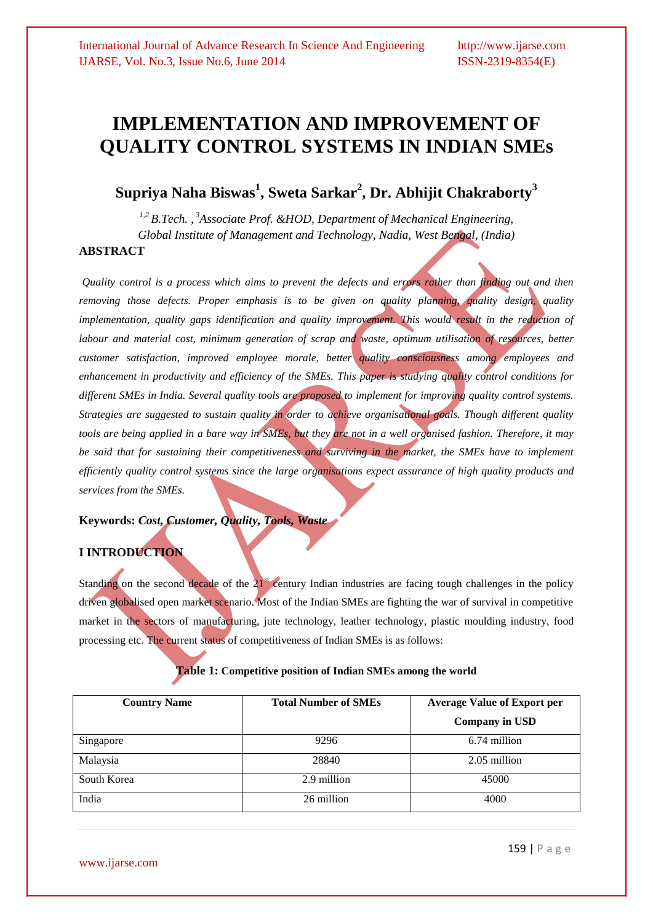# **IMPLEMENTATION AND IMPROVEMENT OF QUALITY CONTROL SYSTEMS IN INDIAN SMEs**

## **Supriya Naha Biswas<sup>1</sup> , Sweta Sarkar<sup>2</sup> , Dr. Abhijit Chakraborty<sup>3</sup>**

*1,2 B.Tech. , <sup>3</sup>Associate Prof. &HOD, Department of Mechanical Engineering, Global Institute of Management and Technology, Nadia, West Bengal, (India)* **ABSTRACT**

*Quality control is a process which aims to prevent the defects and errors rather than finding out and then removing those defects. Proper emphasis is to be given on quality planning, quality design, quality implementation, quality gaps identification and quality improvement. This would result in the reduction of labour and material cost, minimum generation of scrap and waste, optimum utilisation of resources, better customer satisfaction, improved employee morale, better quality consciousness among employees and enhancement in productivity and efficiency of the SMEs. This paper is studying quality control conditions for different SMEs in India. Several quality tools are proposed to implement for improving quality control systems. Strategies are suggested to sustain quality in order to achieve organisational goals. Though different quality*  tools are being applied in a bare way in SMEs, but they are not in a well organised fashion. Therefore, it may *be said that for sustaining their competitiveness and surviving in the market, the SMEs have to implement efficiently quality control systems since the large organisations expect assurance of high quality products and services from the SMEs.*

#### **Keywords:** *Cost, Customer, Quality, Tools, Waste*

### **I INTRODUCTION**

Standing on the second decade of the  $21<sup>st</sup>$  century Indian industries are facing tough challenges in the policy driven globalised open market scenario. Most of the Indian SMEs are fighting the war of survival in competitive market in the sectors of manufacturing, jute technology, leather technology, plastic moulding industry, food processing etc. The current status of competitiveness of Indian SMEs is as follows:

| <b>Country Name</b> | <b>Total Number of SMEs</b> | <b>Average Value of Export per</b><br><b>Company in USD</b> |
|---------------------|-----------------------------|-------------------------------------------------------------|
| Singapore           | 9296                        | 6.74 million                                                |
| Malaysia            | 28840                       | 2.05 million                                                |
| South Korea         | 2.9 million                 | 45000                                                       |
| India               | 26 million                  | 4000                                                        |

### **Table 1: Competitive position of Indian SMEs among the world**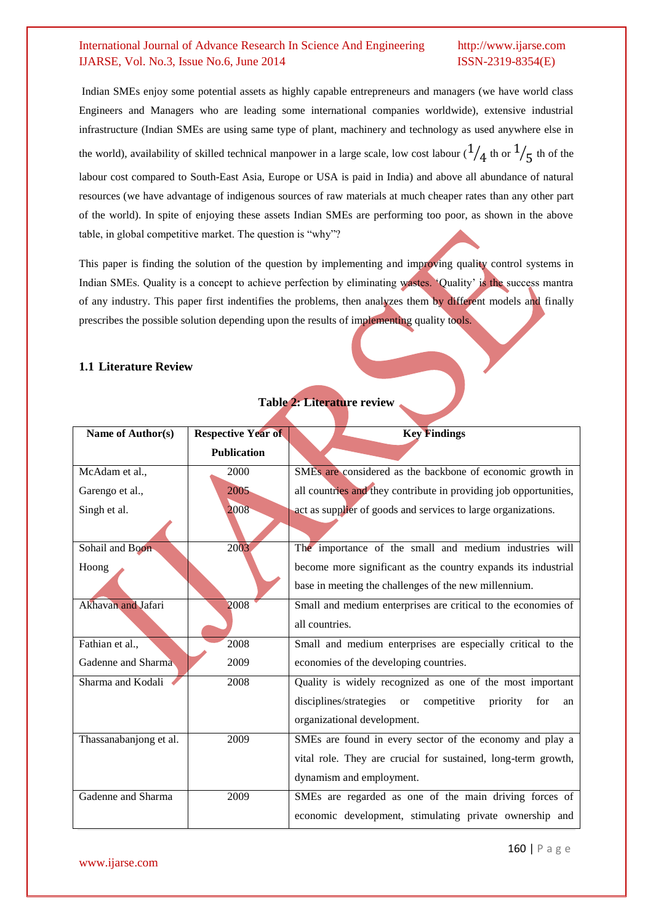Indian SMEs enjoy some potential assets as highly capable entrepreneurs and managers (we have world class Engineers and Managers who are leading some international companies worldwide), extensive industrial infrastructure (Indian SMEs are using same type of plant, machinery and technology as used anywhere else in the world), availability of skilled technical manpower in a large scale, low cost labour ( $\frac{1}{4}$  th or  $\frac{1}{5}$  th of the labour cost compared to South-East Asia, Europe or USA is paid in India) and above all abundance of natural resources (we have advantage of indigenous sources of raw materials at much cheaper rates than any other part of the world). In spite of enjoying these assets Indian SMEs are performing too poor, as shown in the above table, in global competitive market. The question is "why"?

This paper is finding the solution of the question by implementing and improving quality control systems in Indian SMEs. Quality is a concept to achieve perfection by eliminating wastes. 'Quality' is the success mantra of any industry. This paper first indentifies the problems, then analyzes them by different models and finally prescribes the possible solution depending upon the results of implementing quality tools.

#### **1.1 Literature Review**

| Name of Author(s)      | <b>Respective Year of</b> | <b>Key Findings</b>                                                             |
|------------------------|---------------------------|---------------------------------------------------------------------------------|
|                        | <b>Publication</b>        |                                                                                 |
| McAdam et al.,         | 2000                      | SMEs are considered as the backbone of economic growth in                       |
| Garengo et al.,        | 2005                      | all countries and they contribute in providing job opportunities,               |
| Singh et al.           | 2008                      | act as supplier of goods and services to large organizations.                   |
|                        |                           |                                                                                 |
| Sohail and Boon        | 2003                      | The importance of the small and medium industries will                          |
| Hoong                  |                           | become more significant as the country expands its industrial                   |
|                        |                           | base in meeting the challenges of the new millennium.                           |
| Akhavan and Jafari     | 2008                      | Small and medium enterprises are critical to the economies of                   |
|                        |                           | all countries.                                                                  |
| Fathian et al.,        | 2008                      | Small and medium enterprises are especially critical to the                     |
| Gadenne and Sharma     | 2009                      | economies of the developing countries.                                          |
| Sharma and Kodali      | 2008                      | Quality is widely recognized as one of the most important                       |
|                        |                           | disciplines/strategies<br>competitive<br>priority<br><sub>or</sub><br>for<br>an |
|                        |                           | organizational development.                                                     |
| Thassanabanjong et al. | 2009                      | SMEs are found in every sector of the economy and play a                        |
|                        |                           | vital role. They are crucial for sustained, long-term growth,                   |
|                        |                           | dynamism and employment.                                                        |
| Gadenne and Sharma     | 2009                      | SMEs are regarded as one of the main driving forces of                          |
|                        |                           | economic development, stimulating private ownership and                         |

## **Table 2: Literature review**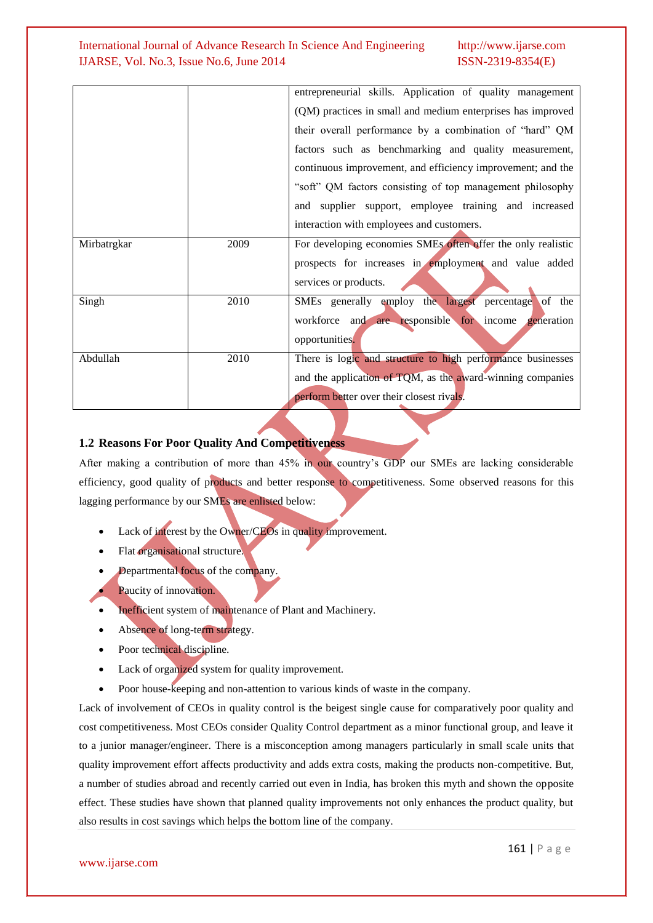|             |      | entrepreneurial skills. Application of quality management    |
|-------------|------|--------------------------------------------------------------|
|             |      | (QM) practices in small and medium enterprises has improved  |
|             |      | their overall performance by a combination of "hard" QM      |
|             |      | factors such as benchmarking and quality measurement,        |
|             |      | continuous improvement, and efficiency improvement; and the  |
|             |      | "soft" QM factors consisting of top management philosophy    |
|             |      | and supplier support, employee training and increased        |
|             |      | interaction with employees and customers.                    |
| Mirbatrgkar | 2009 | For developing economies SMEs often offer the only realistic |
|             |      | prospects for increases in employment and value added        |
|             |      | services or products.                                        |
| Singh       | 2010 | SMEs generally employ the largest percentage of the          |
|             |      | workforce and are responsible for income generation          |
|             |      | opportunities.                                               |
| Abdullah    | 2010 | There is logic and structure to high performance businesses  |
|             |      | and the application of TQM, as the award-winning companies   |
|             |      | perform better over their closest rivals.                    |

#### **1.2 Reasons For Poor Quality And Competitiveness**

After making a contribution of more than 45% in our country's GDP our SMEs are lacking considerable efficiency, good quality of products and better response to competitiveness. Some observed reasons for this lagging performance by our SMEs are enlisted below:

- Lack of interest by the Owner/CEOs in quality improvement.
- Flat organisational structure.
- Departmental focus of the company.
- Paucity of innovation.
- Inefficient system of maintenance of Plant and Machinery.
- Absence of long-term strategy.
- Poor technical discipline.
- Lack of organized system for quality improvement.
- Poor house-keeping and non-attention to various kinds of waste in the company.

Lack of involvement of CEOs in quality control is the beigest single cause for comparatively poor quality and cost competitiveness. Most CEOs consider Quality Control department as a minor functional group, and leave it to a junior manager/engineer. There is a misconception among managers particularly in small scale units that quality improvement effort affects productivity and adds extra costs, making the products non-competitive. But, a number of studies abroad and recently carried out even in India, has broken this myth and shown the opposite effect. These studies have shown that planned quality improvements not only enhances the product quality, but also results in cost savings which helps the bottom line of the company.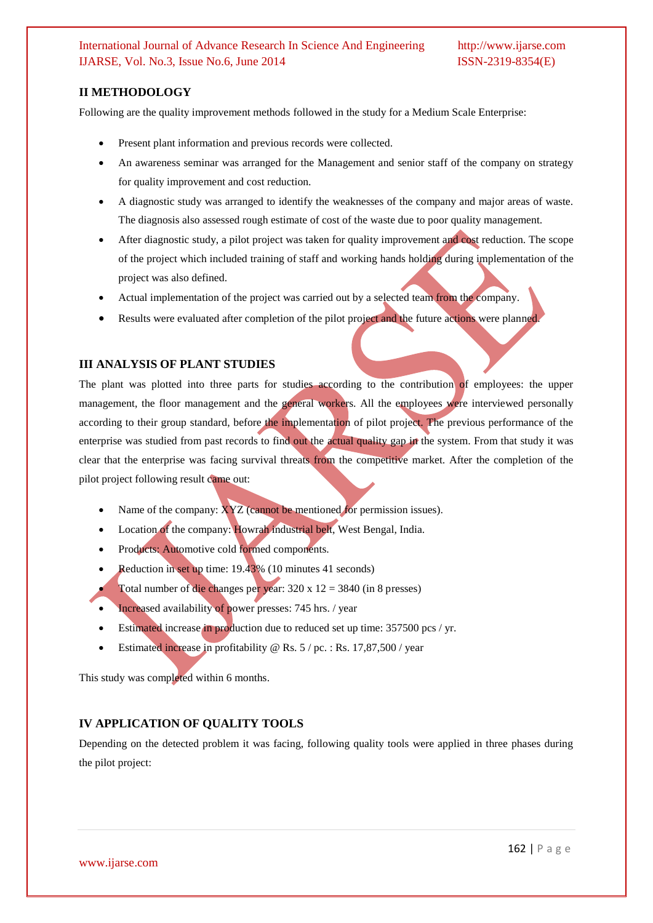#### **II METHODOLOGY**

Following are the quality improvement methods followed in the study for a Medium Scale Enterprise:

- Present plant information and previous records were collected.
- An awareness seminar was arranged for the Management and senior staff of the company on strategy for quality improvement and cost reduction.
- A diagnostic study was arranged to identify the weaknesses of the company and major areas of waste. The diagnosis also assessed rough estimate of cost of the waste due to poor quality management.
- After diagnostic study, a pilot project was taken for quality improvement and cost reduction. The scope of the project which included training of staff and working hands holding during implementation of the project was also defined.
- Actual implementation of the project was carried out by a selected team from the company.
- Results were evaluated after completion of the pilot project and the future actions were planned.

#### **III ANALYSIS OF PLANT STUDIES**

The plant was plotted into three parts for studies according to the contribution of employees: the upper management, the floor management and the general workers. All the employees were interviewed personally according to their group standard, before the implementation of pilot project. The previous performance of the enterprise was studied from past records to find out the actual quality gap in the system. From that study it was clear that the enterprise was facing survival threats from the competitive market. After the completion of the pilot project following result came out:

- Name of the company: XYZ (cannot be mentioned for permission issues).
- Location of the company: Howrah industrial belt, West Bengal, India.
- Products: Automotive cold formed components.
- Reduction in set up time: 19.43% (10 minutes 41 seconds)
- Total number of die changes per year: 320 x 12 = 3840 (in 8 presses)
- Increased availability of power presses: 745 hrs. / year
- Estimated increase in production due to reduced set up time: 357500 pcs / yr.
- Estimated increase in profitability @ Rs. 5 / pc. : Rs. 17,87,500 / year

This study was completed within 6 months.

#### **IV APPLICATION OF QUALITY TOOLS**

Depending on the detected problem it was facing, following quality tools were applied in three phases during the pilot project: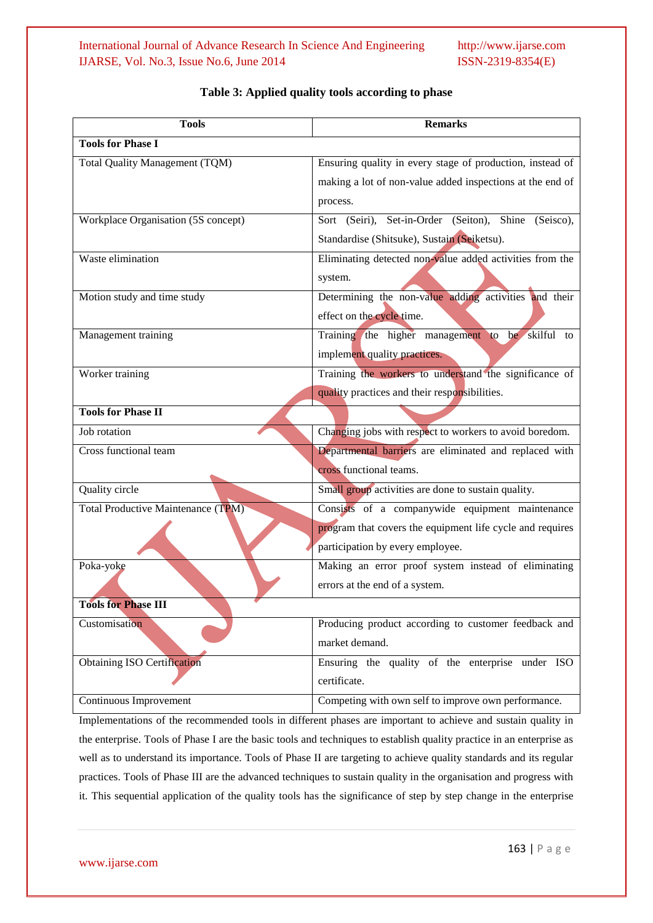| <b>Tools</b>                              | <b>Remarks</b>                                            |
|-------------------------------------------|-----------------------------------------------------------|
| <b>Tools for Phase I</b>                  |                                                           |
| Total Quality Management (TQM)            | Ensuring quality in every stage of production, instead of |
|                                           | making a lot of non-value added inspections at the end of |
|                                           | process.                                                  |
| Workplace Organisation (5S concept)       | Sort (Seiri), Set-in-Order (Seiton), Shine<br>(Seisco),   |
|                                           | Standardise (Shitsuke), Sustain (Seiketsu).               |
| Waste elimination                         | Eliminating detected non-value added activities from the  |
|                                           | system.                                                   |
| Motion study and time study               | Determining the non-value adding activities and their     |
|                                           | effect on the cycle time.                                 |
| Management training                       | Training the higher management to be skilful to           |
|                                           | implement quality practices.                              |
| Worker training                           | Training the workers to understand the significance of    |
|                                           | quality practices and their responsibilities.             |
| <b>Tools for Phase II</b>                 |                                                           |
| Job rotation                              | Changing jobs with respect to workers to avoid boredom.   |
| Cross functional team                     | Departmental barriers are eliminated and replaced with    |
|                                           | cross functional teams.                                   |
| <b>Quality circle</b>                     | Small group activities are done to sustain quality.       |
| <b>Total Productive Maintenance (TPM)</b> | Consists of a companywide equipment maintenance           |
|                                           | program that covers the equipment life cycle and requires |
|                                           | participation by every employee.                          |
| Poka-yoke                                 | Making an error proof system instead of eliminating       |
|                                           | errors at the end of a system.                            |
| <b>Tools for Phase III</b>                |                                                           |
| Customisation                             | Producing product according to customer feedback and      |
|                                           | market demand.                                            |
| <b>Obtaining ISO Certification</b>        | Ensuring the quality of the enterprise under ISO          |
|                                           | certificate.                                              |
| Continuous Improvement                    | Competing with own self to improve own performance.       |

### **Table 3: Applied quality tools according to phase**

Implementations of the recommended tools in different phases are important to achieve and sustain quality in the enterprise. Tools of Phase I are the basic tools and techniques to establish quality practice in an enterprise as well as to understand its importance. Tools of Phase II are targeting to achieve quality standards and its regular practices. Tools of Phase III are the advanced techniques to sustain quality in the organisation and progress with it. This sequential application of the quality tools has the significance of step by step change in the enterprise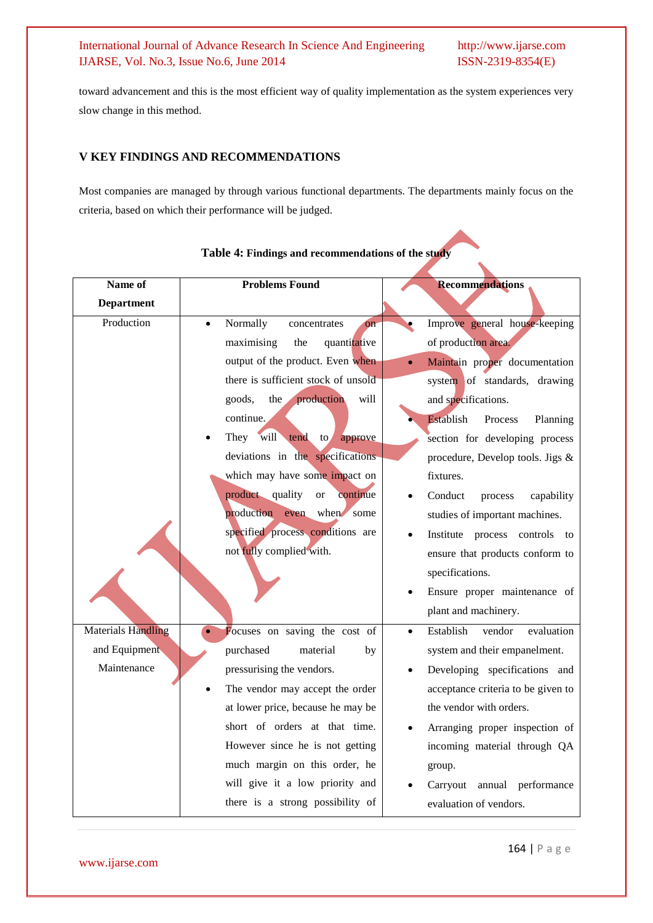toward advancement and this is the most efficient way of quality implementation as the system experiences very slow change in this method.

#### **V KEY FINDINGS AND RECOMMENDATIONS**

Most companies are managed by through various functional departments. The departments mainly focus on the criteria, based on which their performance will be judged.

| Name of                   | <b>Problems Found</b>                            | <b>Recommendations</b>             |
|---------------------------|--------------------------------------------------|------------------------------------|
| <b>Department</b>         |                                                  |                                    |
| Production                | Normally<br>concentrates<br>$_{\rm on}$          | Improve general house-keeping      |
|                           | maximising<br>the<br>quantitative                | of production area.                |
|                           | output of the product. Even when                 | Maintain proper documentation      |
|                           | there is sufficient stock of unsold              | system of standards, drawing       |
|                           | goods,<br>the<br>production<br>will              | and specifications.                |
|                           | continue.                                        | Establish<br>Process<br>Planning   |
|                           | will<br>They<br>tend<br>$\mathsf{to}$<br>approve | section for developing process     |
|                           | deviations in the specifications                 | procedure, Develop tools. Jigs &   |
|                           | which may have some impact on                    | fixtures.                          |
|                           | product quality<br><b>or</b><br>continue         | Conduct<br>capability<br>process   |
|                           | production even when some                        | studies of important machines.     |
|                           | specified process conditions are                 | Institute process controls<br>to   |
|                           | not fully complied with.                         | ensure that products conform to    |
|                           |                                                  | specifications.                    |
|                           |                                                  | Ensure proper maintenance of       |
|                           |                                                  | plant and machinery.               |
| <b>Materials Handling</b> | Focuses on saving the cost of                    | Establish<br>vendor<br>evaluation  |
| and Equipment             | purchased<br>material<br>by                      | system and their empanelment.      |
| Maintenance               | pressurising the vendors.                        | Developing specifications and      |
|                           | The vendor may accept the order                  | acceptance criteria to be given to |
|                           | at lower price, because he may be                | the vendor with orders.            |
|                           | short of orders at that time.                    | Arranging proper inspection of     |
|                           | However since he is not getting                  | incoming material through QA       |
|                           | much margin on this order, he                    | group.                             |
|                           | will give it a low priority and                  | Carryout<br>annual performance     |
|                           | there is a strong possibility of                 | evaluation of vendors.             |

#### **Table 4: Findings and recommendations of the study**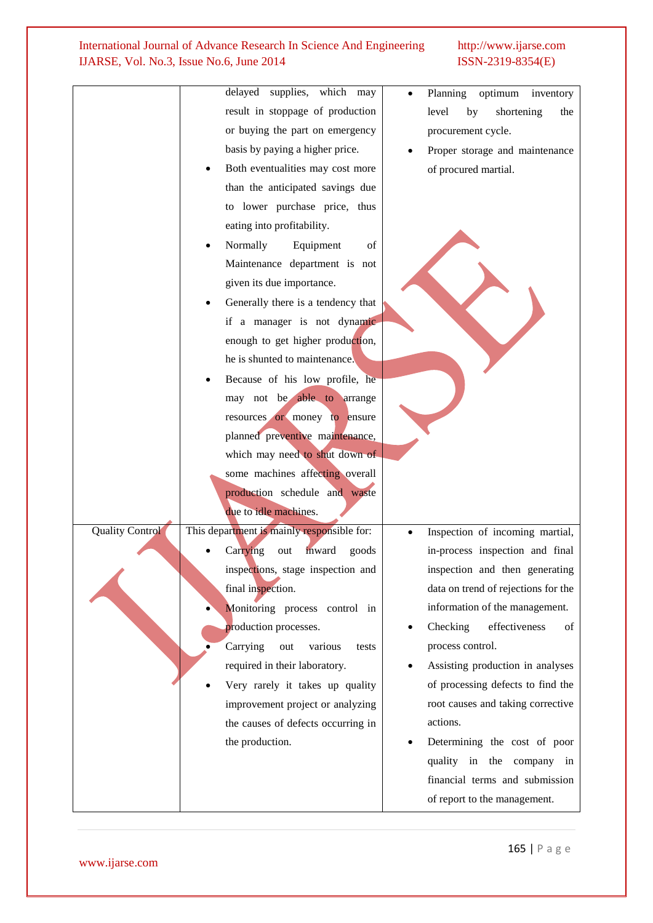|                        | delayed supplies, which may                | Planning<br>optimum<br>inventory    |
|------------------------|--------------------------------------------|-------------------------------------|
|                        | result in stoppage of production           | level<br>shortening<br>by<br>the    |
|                        |                                            |                                     |
|                        | or buying the part on emergency            | procurement cycle.                  |
|                        | basis by paying a higher price.            | Proper storage and maintenance      |
|                        | Both eventualities may cost more           | of procured martial.                |
|                        | than the anticipated savings due           |                                     |
|                        | to lower purchase price, thus              |                                     |
|                        | eating into profitability.                 |                                     |
|                        | Normally<br>Equipment<br>of                |                                     |
|                        | Maintenance department is not              |                                     |
|                        | given its due importance.                  |                                     |
|                        | Generally there is a tendency that         |                                     |
|                        | if a manager is not dynamic                |                                     |
|                        | enough to get higher production,           |                                     |
|                        | he is shunted to maintenance.              |                                     |
|                        | Because of his low profile, he             |                                     |
|                        | may not be able to arrange                 |                                     |
|                        | resources or money to ensure               |                                     |
|                        | planned preventive maintenance,            |                                     |
|                        | which may need to shut down of             |                                     |
|                        | some machines affecting overall            |                                     |
|                        | production schedule and waste              |                                     |
|                        | due to idle machines.                      |                                     |
| <b>Quality Control</b> | This department is mainly responsible for: | Inspection of incoming martial,     |
|                        | inward<br>Carrying<br>goods<br>out         | in-process inspection and final     |
|                        | inspections, stage inspection and          | inspection and then generating      |
|                        | final inspection.                          | data on trend of rejections for the |
|                        | Monitoring process control in              | information of the management.      |
|                        | production processes.                      | Checking<br>effectiveness<br>of     |
|                        | Carrying<br>out<br>various<br>tests        | process control.                    |
|                        | required in their laboratory.              | Assisting production in analyses    |
|                        | Very rarely it takes up quality            | of processing defects to find the   |
|                        | improvement project or analyzing           | root causes and taking corrective   |
|                        | the causes of defects occurring in         | actions.                            |
|                        | the production.                            | Determining the cost of poor        |
|                        |                                            | quality in the company in           |
|                        |                                            | financial terms and submission      |
|                        |                                            | of report to the management.        |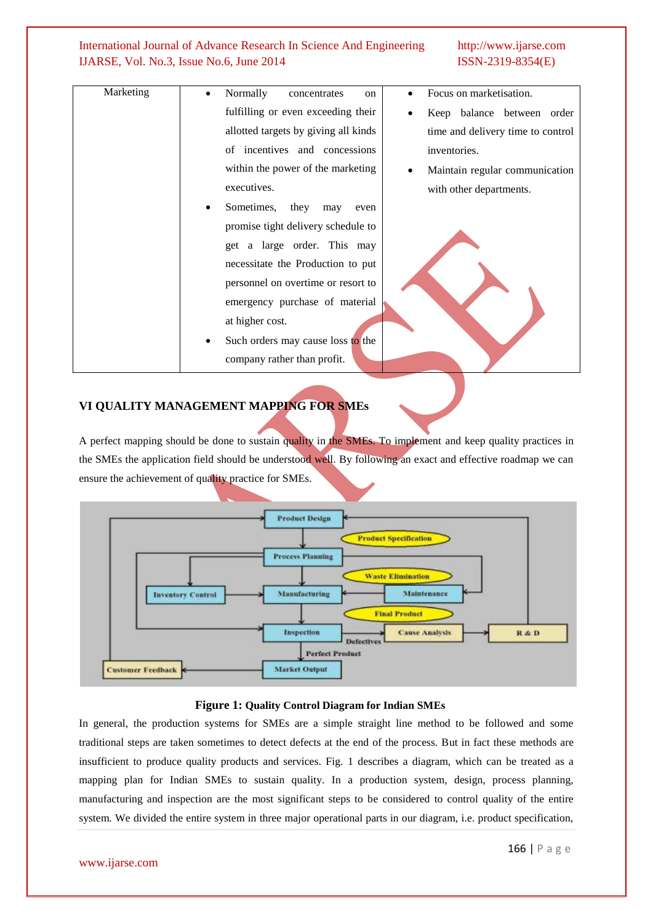| Marketing | Focus on marketisation.<br>Normally<br>concentrates<br>on                 |
|-----------|---------------------------------------------------------------------------|
|           | fulfilling or even exceeding their<br>Keep balance between order          |
|           | allotted targets by giving all kinds<br>time and delivery time to control |
|           | of incentives and concessions<br>inventories.                             |
|           | within the power of the marketing<br>Maintain regular communication       |
|           | executives.<br>with other departments.                                    |
|           | Sometimes,<br>they<br>may<br>even                                         |
|           | promise tight delivery schedule to                                        |
|           | get a large order. This may                                               |
|           | necessitate the Production to put                                         |
|           | personnel on overtime or resort to                                        |
|           | emergency purchase of material                                            |
|           | at higher cost.                                                           |
|           | Such orders may cause loss to the<br>$\bullet$                            |
|           | company rather than profit.                                               |
|           |                                                                           |

#### **VI QUALITY MANAGEMENT MAPPING FOR SMEs**

A perfect mapping should be done to sustain quality in the SMEs. To implement and keep quality practices in the SMEs the application field should be understood well. By following an exact and effective roadmap we can ensure the achievement of quality practice for SMEs.



#### **Figure 1: Quality Control Diagram for Indian SMEs**

In general, the production systems for SMEs are a simple straight line method to be followed and some traditional steps are taken sometimes to detect defects at the end of the process. But in fact these methods are insufficient to produce quality products and services. Fig. 1 describes a diagram, which can be treated as a mapping plan for Indian SMEs to sustain quality. In a production system, design, process planning, manufacturing and inspection are the most significant steps to be considered to control quality of the entire system. We divided the entire system in three major operational parts in our diagram, i.e. product specification,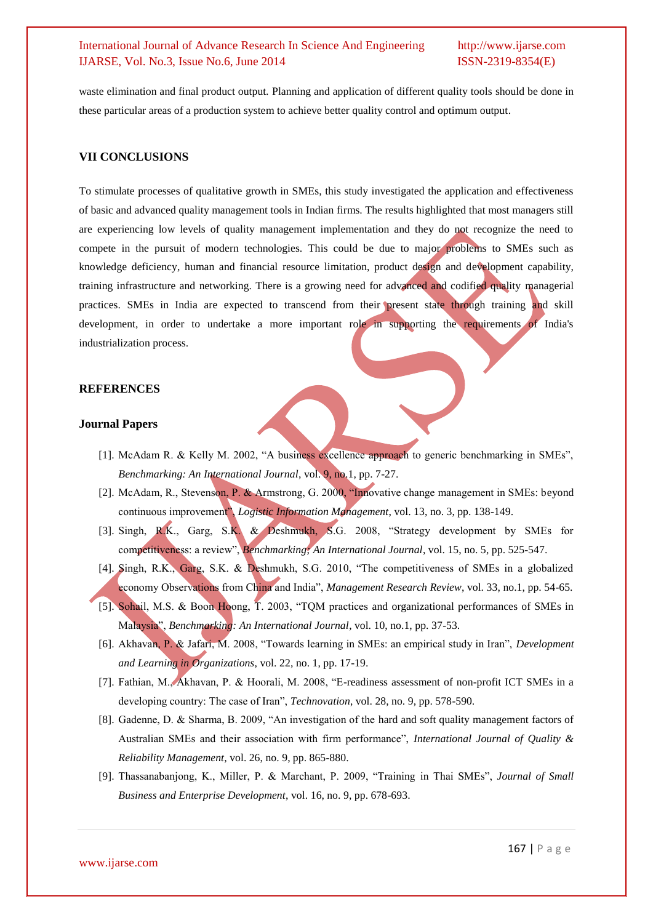waste elimination and final product output. Planning and application of different quality tools should be done in these particular areas of a production system to achieve better quality control and optimum output.

#### **VII CONCLUSIONS**

To stimulate processes of qualitative growth in SMEs, this study investigated the application and effectiveness of basic and advanced quality management tools in Indian firms. The results highlighted that most managers still are experiencing low levels of quality management implementation and they do not recognize the need to compete in the pursuit of modern technologies. This could be due to major problems to SMEs such as knowledge deficiency, human and financial resource limitation, product design and development capability, training infrastructure and networking. There is a growing need for advanced and codified quality managerial practices. SMEs in India are expected to transcend from their present state through training and skill development, in order to undertake a more important role in supporting the requirements of India's industrialization process.

#### **REFERENCES**

#### **Journal Papers**

- [1]. McAdam R. & Kelly M. 2002, "A business excellence approach to generic benchmarking in SMEs", *Benchmarking: An International Journal*, vol. 9, no.1, pp. 7-27.
- [2]. McAdam, R., Stevenson, P. & Armstrong, G. 2000, "Innovative change management in SMEs: beyond continuous improvement", *Logistic Information Management*, vol. 13, no. 3, pp. 138-149.
- [3]. Singh, R.K., Garg, S.K. & Deshmukh, S.G. 2008, "Strategy development by SMEs for competitiveness: a review", *Benchmarking; An International Journal*, vol. 15, no. 5, pp. 525-547.
- [4]. Singh, R.K., Garg, S.K. & Deshmukh, S.G. 2010, "The competitiveness of SMEs in a globalized economy Observations from China and India", *Management Research Review*, vol. 33, no.1, pp. 54-65.
- [5]. Sohail, M.S. & Boon Hoong, T. 2003, "TQM practices and organizational performances of SMEs in Malaysia", *Benchmarking: An International Journal*, vol. 10, no.1, pp. 37-53.
- [6]. Akhavan, P. & Jafari, M. 2008, "Towards learning in SMEs: an empirical study in Iran", *Development and Learning in Organizations*, vol. 22, no. 1, pp. 17-19.
- [7]. Fathian, M., Akhavan, P. & Hoorali, M. 2008, "E-readiness assessment of non-profit ICT SMEs in a developing country: The case of Iran", *Technovation*, vol. 28, no. 9, pp. 578-590.
- [8]. Gadenne, D. & Sharma, B. 2009, "An investigation of the hard and soft quality management factors of Australian SMEs and their association with firm performance", *International Journal of Quality & Reliability Management*, vol. 26, no. 9, pp. 865-880.
- [9]. Thassanabanjong, K., Miller, P. & Marchant, P. 2009, "Training in Thai SMEs", *Journal of Small Business and Enterprise Development*, vol. 16, no. 9, pp. 678-693.